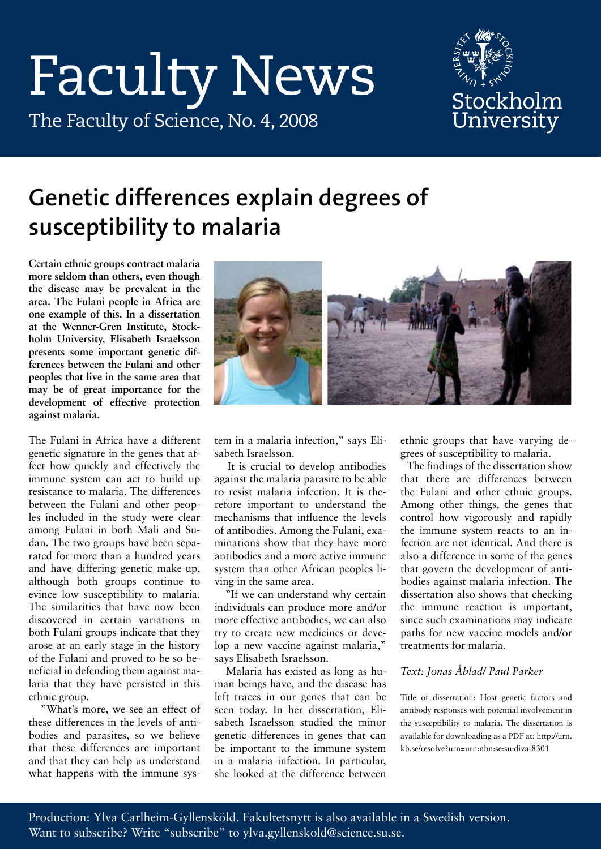# Faculty News



## The Faculty of Science, No. 4, 2008

## **Genetic differences explain degrees of susceptibility to malaria**

**Certain ethnic groups contract malaria more seldom than others, even though the disease may be prevalent in the area. The Fulani people in Africa are one example of this. In a dissertation at the Wenner-Gren Institute, Stockholm University, Elisabeth Israelsson presents some important genetic differences between the Fulani and other peoples that live in the same area that may be of great importance for the development of effective protection against malaria.**

The Fulani in Africa have a different genetic signature in the genes that affect how quickly and effectively the immune system can act to build up resistance to malaria. The differences between the Fulani and other peoples included in the study were clear among Fulani in both Mali and Sudan. The two groups have been separated for more than a hundred years and have differing genetic make-up, although both groups continue to evince low susceptibility to malaria. The similarities that have now been discovered in certain variations in both Fulani groups indicate that they arose at an early stage in the history of the Fulani and proved to be so beneficial in defending them against malaria that they have persisted in this ethnic group.

 "What's more, we see an effect of these differences in the levels of antibodies and parasites, so we believe that these differences are important and that they can help us understand what happens with the immune sys-



tem in a malaria infection," says Elisabeth Israelsson.

 It is crucial to develop antibodies against the malaria parasite to be able to resist malaria infection. It is therefore important to understand the mechanisms that influence the levels of antibodies. Among the Fulani, examinations show that they have more antibodies and a more active immune system than other African peoples living in the same area.

 "If we can understand why certain individuals can produce more and/or more effective antibodies, we can also try to create new medicines or develop a new vaccine against malaria," says Elisabeth Israelsson.

 Malaria has existed as long as human beings have, and the disease has left traces in our genes that can be seen today. In her dissertation, Elisabeth Israelsson studied the minor genetic differences in genes that can be important to the immune system in a malaria infection. In particular, she looked at the difference between

ethnic groups that have varying degrees of susceptibility to malaria.

 The findings of the dissertation show that there are differences between the Fulani and other ethnic groups. Among other things, the genes that control how vigorously and rapidly the immune system reacts to an infection are not identical. And there is also a difference in some of the genes that govern the development of antibodies against malaria infection. The dissertation also shows that checking the immune reaction is important, since such examinations may indicate paths for new vaccine models and/or treatments for malaria.

#### *Text: Jonas Åblad/ Paul Parker*

Title of dissertation: Host genetic factors and antibody responses with potential involvement in the susceptibility to malaria. The dissertation is available for downloading as a PDF at: http://urn. kb.se/resolve?urn=urn:nbn:se:su:diva-8301